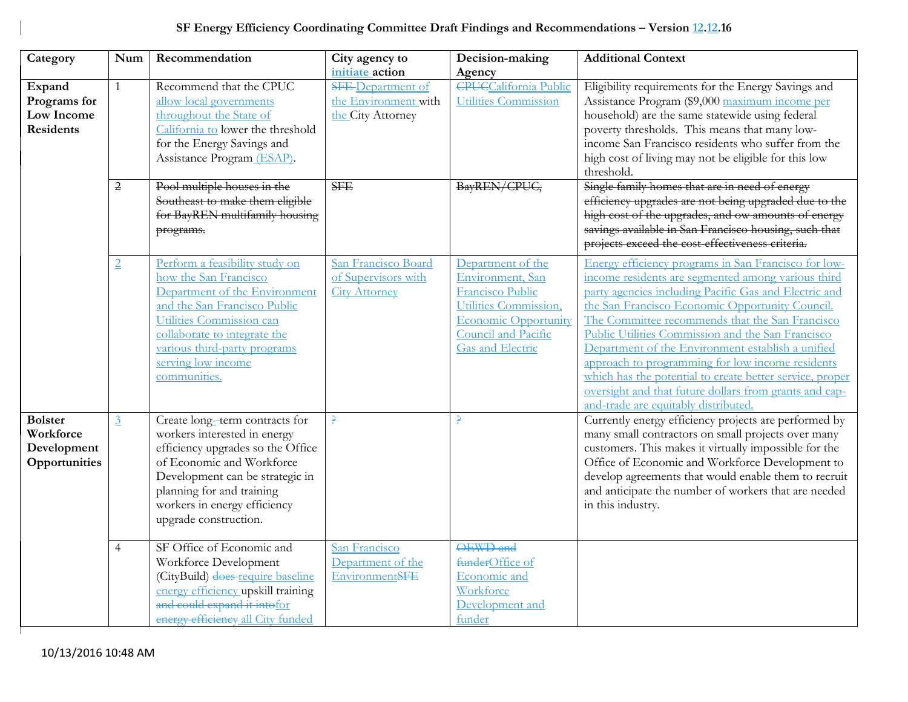## **SF Energy Efficiency Coordinating Committee Draft Findings and Recommendations – Version 12.12.16**

| Category                                                    | Num            | Recommendation                                                                                                                                                                                                                                             | City agency to<br>initiate action                                     | Decision-making<br>Agency                                                                                                                                           | <b>Additional Context</b>                                                                                                                                                                                                                                                                                                                                                                                                                                                                                                                                                                            |
|-------------------------------------------------------------|----------------|------------------------------------------------------------------------------------------------------------------------------------------------------------------------------------------------------------------------------------------------------------|-----------------------------------------------------------------------|---------------------------------------------------------------------------------------------------------------------------------------------------------------------|------------------------------------------------------------------------------------------------------------------------------------------------------------------------------------------------------------------------------------------------------------------------------------------------------------------------------------------------------------------------------------------------------------------------------------------------------------------------------------------------------------------------------------------------------------------------------------------------------|
| Expand<br>Programs for<br>Low Income<br><b>Residents</b>    | $\mathbf{1}$   | Recommend that the CPUC<br>allow local governments<br>throughout the State of<br>California to lower the threshold<br>for the Energy Savings and<br>Assistance Program (ESAP).                                                                             | <b>SFE-Department of</b><br>the Environment with<br>the City Attorney | <b>CPUCCalifornia Public</b><br>Utilities Commission                                                                                                                | Eligibility requirements for the Energy Savings and<br>Assistance Program (\$9,000 maximum income per<br>household) are the same statewide using federal<br>poverty thresholds. This means that many low-<br>income San Francisco residents who suffer from the<br>high cost of living may not be eligible for this low<br>threshold.                                                                                                                                                                                                                                                                |
|                                                             | 2              | Pool multiple houses in the<br>Southeast to make them eligible<br>for BayREN multifamily housing<br>programs.                                                                                                                                              | <b>SFE</b>                                                            | BayREN/CPUC,                                                                                                                                                        | Single family homes that are in need of energy<br>efficiency upgrades are not being upgraded due to the<br>high cost of the upgrades, and ow amounts of energy<br>savings available in San Francisco housing, such that<br>projects exceed the cost-effectiveness criteria.                                                                                                                                                                                                                                                                                                                          |
|                                                             | $\overline{2}$ | Perform a feasibility study on<br>how the San Francisco<br>Department of the Environment<br>and the San Francisco Public<br>Utilities Commission can<br>collaborate to integrate the<br>various third-party programs<br>serving low income<br>communities. | San Francisco Board<br>of Supervisors with<br><b>City Attorney</b>    | Department of the<br>Environment, San<br>Francisco Public<br>Utilities Commission,<br><b>Economic Opportunity</b><br>Council and Pacific<br><b>Gas and Electric</b> | Energy efficiency programs in San Francisco for low-<br>income residents are segmented among various third<br>party agencies including Pacific Gas and Electric and<br>the San Francisco Economic Opportunity Council.<br>The Committee recommends that the San Francisco<br>Public Utilities Commission and the San Francisco<br>Department of the Environment establish a unified<br>approach to programming for low income residents<br>which has the potential to create better service, proper<br>oversight and that future dollars from grants and cap-<br>and-trade are equitably distributed |
| <b>Bolster</b><br>Workforce<br>Development<br>Opportunities | $\overline{3}$ | Create long-term contracts for<br>workers interested in energy<br>efficiency upgrades so the Office<br>of Economic and Workforce<br>Development can be strategic in<br>planning for and training<br>workers in energy efficiency<br>upgrade construction.  | ę.                                                                    | $\Rightarrow$                                                                                                                                                       | Currently energy efficiency projects are performed by<br>many small contractors on small projects over many<br>customers. This makes it virtually impossible for the<br>Office of Economic and Workforce Development to<br>develop agreements that would enable them to recruit<br>and anticipate the number of workers that are needed<br>in this industry.                                                                                                                                                                                                                                         |
|                                                             | $\overline{4}$ | SF Office of Economic and<br>Workforce Development<br>(CityBuild) does-require baseline<br>energy efficiency upskill training<br>and could expand it intofor<br>energy efficiency all City funded                                                          | San Francisco<br>Department of the<br>EnvironmentSFE                  | OEWD and<br>funderOffice of<br>Economic and<br>Workforce<br>Development and<br>funder                                                                               |                                                                                                                                                                                                                                                                                                                                                                                                                                                                                                                                                                                                      |

Г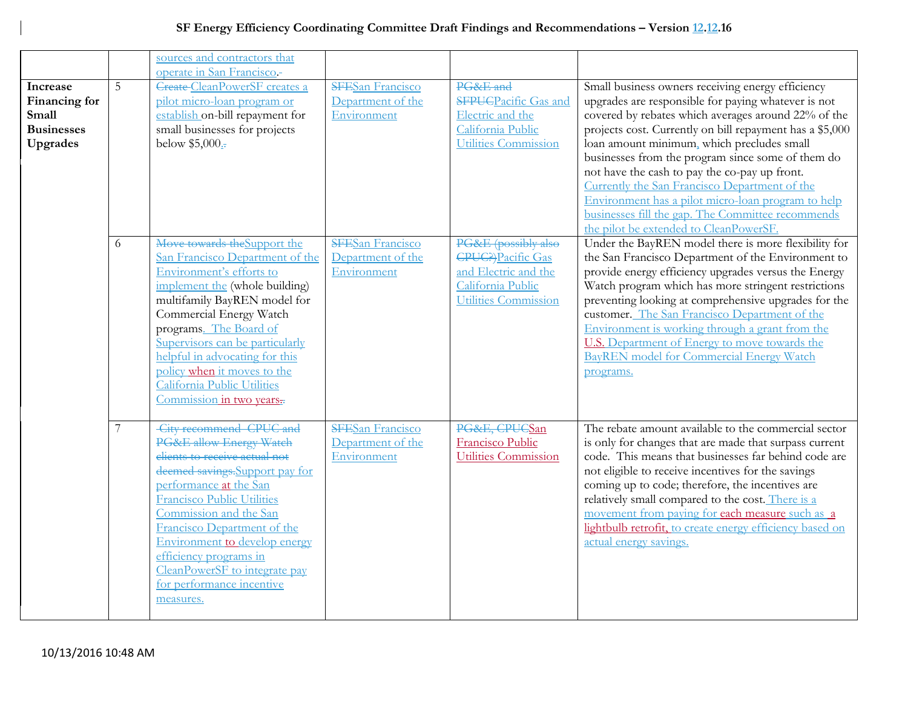## **SF Energy Efficiency Coordinating Committee Draft Findings and Recommendations – Version 12.12.16**

|                                                                     |   | sources and contractors that                                                                                                                                                                                                                                                                                                                                                         |                                                             |                                                                                                                        |                                                                                                                                                                                                                                                                                                                                                                                                                                                                                                                                                                                       |
|---------------------------------------------------------------------|---|--------------------------------------------------------------------------------------------------------------------------------------------------------------------------------------------------------------------------------------------------------------------------------------------------------------------------------------------------------------------------------------|-------------------------------------------------------------|------------------------------------------------------------------------------------------------------------------------|---------------------------------------------------------------------------------------------------------------------------------------------------------------------------------------------------------------------------------------------------------------------------------------------------------------------------------------------------------------------------------------------------------------------------------------------------------------------------------------------------------------------------------------------------------------------------------------|
|                                                                     |   | operate in San Francisco-                                                                                                                                                                                                                                                                                                                                                            |                                                             |                                                                                                                        |                                                                                                                                                                                                                                                                                                                                                                                                                                                                                                                                                                                       |
| Increase<br>Financing for<br>Small<br><b>Businesses</b><br>Upgrades | 5 | <b>Create-CleanPowerSF</b> creates a<br>pilot micro-loan program or<br>establish on-bill repayment for<br>small businesses for projects<br>below \$5,000.                                                                                                                                                                                                                            | <b>SFESan Francisco</b><br>Department of the<br>Environment | PG&E and<br><b>SFPUCPacific Gas and</b><br>Electric and the<br>California Public<br>Utilities Commission               | Small business owners receiving energy efficiency<br>upgrades are responsible for paying whatever is not<br>covered by rebates which averages around 22% of the<br>projects cost. Currently on bill repayment has a \$5,000<br>loan amount minimum, which precludes small<br>businesses from the program since some of them do<br>not have the cash to pay the co-pay up front.<br>Currently the San Francisco Department of the<br>Environment has a pilot micro-loan program to help<br>businesses fill the gap. The Committee recommends<br>the pilot be extended to CleanPowerSF. |
|                                                                     | 6 | Move towards the Support the<br>San Francisco Department of the<br>Environment's efforts to<br>implement the (whole building)<br>multifamily BayREN model for<br>Commercial Energy Watch<br>programs. The Board of<br>Supervisors can be particularly<br>helpful in advocating for this<br>policy when it moves to the<br>California Public Utilities<br>Commission in two years.    | <b>SFESan Francisco</b><br>Department of the<br>Environment | PG&E (possibly also<br><b>CPUC?</b> ) Pacific Gas<br>and Electric and the<br>California Public<br>Utilities Commission | Under the BayREN model there is more flexibility for<br>the San Francisco Department of the Environment to<br>provide energy efficiency upgrades versus the Energy<br>Watch program which has more stringent restrictions<br>preventing looking at comprehensive upgrades for the<br>customer. The San Francisco Department of the<br>Environment is working through a grant from the<br>U.S. Department of Energy to move towards the<br><b>BayREN</b> model for Commercial Energy Watch<br>programs.                                                                                |
|                                                                     |   | City recommend CPUC and<br>PG&E allow Energy Watch<br>elients to receive actual not<br>deemed savings. Support pay for<br>performance at the San<br><b>Francisco Public Utilities</b><br>Commission and the San<br>Francisco Department of the<br>Environment to develop energy<br>efficiency programs in<br>CleanPowerSF to integrate pay<br>for performance incentive<br>measures. | <b>SFESan Francisco</b><br>Department of the<br>Environment | PG&E, CPUCSan<br>Francisco Public<br>Utilities Commission                                                              | The rebate amount available to the commercial sector<br>is only for changes that are made that surpass current<br>code. This means that businesses far behind code are<br>not eligible to receive incentives for the savings<br>coming up to code; therefore, the incentives are<br>relatively small compared to the cost. There is a<br>movement from paying for each measure such as a<br>lightbulb retrofit, to create energy efficiency based on<br>actual energy savings.                                                                                                        |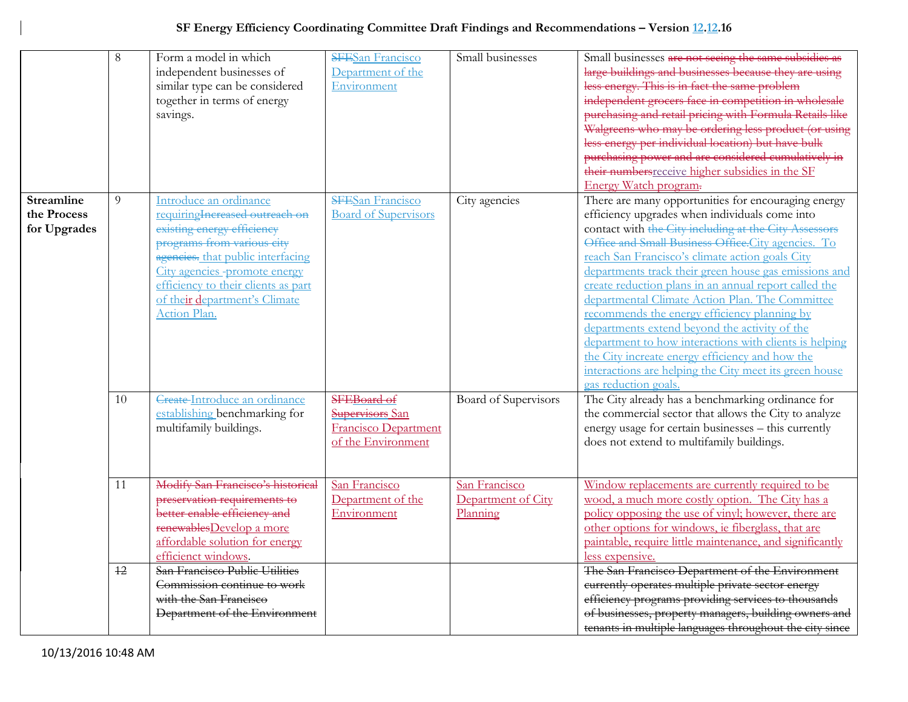|                                                  | 8  | Form a model in which<br>independent businesses of<br>similar type can be considered<br>together in terms of energy<br>savings.                                                                                                                                                     | <b>SFESan Francisco</b><br>Department of the<br>Environment                         | Small businesses                                | Small businesses are not seeing the same subsidies as<br>large buildings and businesses because they are using<br>less energy. This is in fact the same problem<br>independent grocers face in competition in wholesale<br>purchasing and retail pricing with Formula Retails like<br>Walgreens who may be ordering less product (or using<br>less energy per individual location) but have bulk                                                                                                                                                                                                                                                                                                                                             |
|--------------------------------------------------|----|-------------------------------------------------------------------------------------------------------------------------------------------------------------------------------------------------------------------------------------------------------------------------------------|-------------------------------------------------------------------------------------|-------------------------------------------------|----------------------------------------------------------------------------------------------------------------------------------------------------------------------------------------------------------------------------------------------------------------------------------------------------------------------------------------------------------------------------------------------------------------------------------------------------------------------------------------------------------------------------------------------------------------------------------------------------------------------------------------------------------------------------------------------------------------------------------------------|
|                                                  |    |                                                                                                                                                                                                                                                                                     |                                                                                     |                                                 | purchasing power and are considered cumulatively in<br>their numbers receive higher subsidies in the SF<br>Energy Watch program-                                                                                                                                                                                                                                                                                                                                                                                                                                                                                                                                                                                                             |
| <b>Streamline</b><br>the Process<br>for Upgrades | 9  | Introduce an ordinance<br>requiring Increased outreach on<br>existing energy efficiency<br>programs from various city<br>agencies. that public interfacing<br>City agencies -promote energy<br>efficiency to their clients as part<br>of their department's Climate<br>Action Plan. | <b>SFESan Francisco</b><br><b>Board of Supervisors</b>                              | City agencies                                   | There are many opportunities for encouraging energy<br>efficiency upgrades when individuals come into<br>contact with the City including at the City Assessors<br>Office and Small Business Office.City agencies. To<br>reach San Francisco's climate action goals City<br>departments track their green house gas emissions and<br>create reduction plans in an annual report called the<br>departmental Climate Action Plan. The Committee<br>recommends the energy efficiency planning by<br>departments extend beyond the activity of the<br>department to how interactions with clients is helping<br>the City increate energy efficiency and how the<br>interactions are helping the City meet its green house<br>gas reduction goals. |
|                                                  | 10 | Create-Introduce an ordinance<br>establishing benchmarking for<br>multifamily buildings.                                                                                                                                                                                            | SFEBoard of<br>Supervisors San<br><b>Francisco Department</b><br>of the Environment | Board of Supervisors                            | The City already has a benchmarking ordinance for<br>the commercial sector that allows the City to analyze<br>energy usage for certain businesses - this currently<br>does not extend to multifamily buildings.                                                                                                                                                                                                                                                                                                                                                                                                                                                                                                                              |
|                                                  | 11 | Modify San Francisco's historical<br>preservation requirements to<br>better enable efficiency and<br>renewablesDevelop a more<br>affordable solution for energy<br>efficienct windows.                                                                                              | San Francisco<br>Department of the<br>Environment                                   | San Francisco<br>Department of City<br>Planning | Window replacements are currently required to be<br>wood, a much more costly option. The City has a<br>policy opposing the use of vinyl; however, there are<br>other options for windows, ie fiberglass, that are<br>paintable, require little maintenance, and significantly<br>less expensive.                                                                                                                                                                                                                                                                                                                                                                                                                                             |
|                                                  | 12 | San Francisco Public Utilities<br>Commission continue to work<br>with the San Francisco<br>Department of the Environment                                                                                                                                                            |                                                                                     |                                                 | The San Francisco Department of the Environment<br>currently operates multiple private sector energy<br>efficiency programs providing services to thousands<br>of businesses, property managers, building owners and<br>tenants in multiple languages throughout the city since                                                                                                                                                                                                                                                                                                                                                                                                                                                              |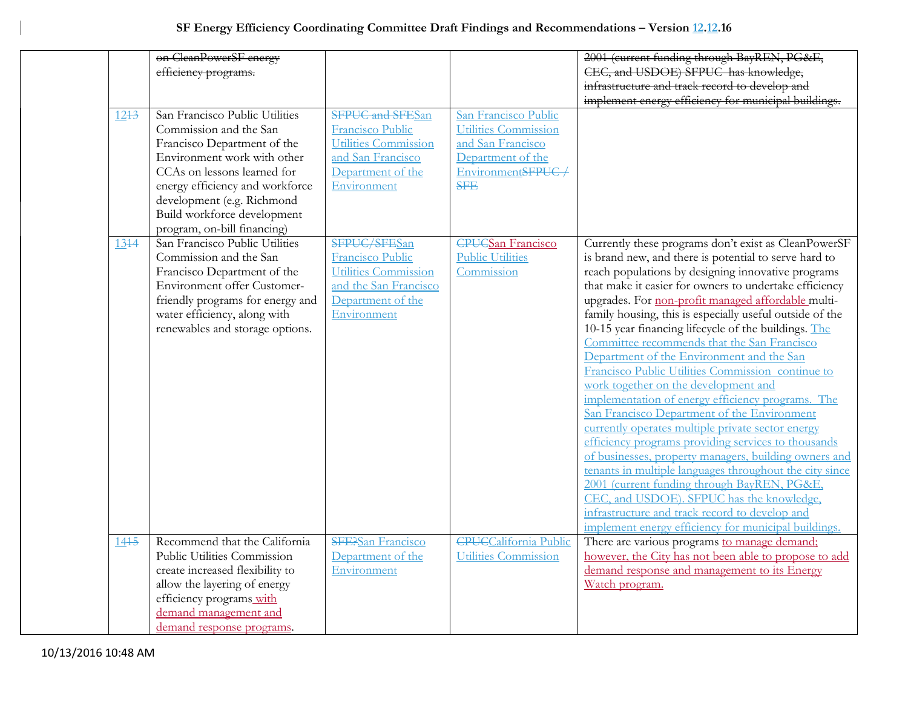|          | on CleanPowerSF energy           |                             |                              | 2001 (current funding through BayREN, PG&E,              |
|----------|----------------------------------|-----------------------------|------------------------------|----------------------------------------------------------|
|          | efficiency programs.             |                             |                              | CEC, and USDOE) SFPUC has knowledge,                     |
|          |                                  |                             |                              | infrastructure and track record to develop and           |
|          |                                  |                             |                              | implement energy efficiency for municipal buildings.     |
| $12 + 3$ | San Francisco Public Utilities   | <b>SFPUC and SFESan</b>     | San Francisco Public         |                                                          |
|          | Commission and the San           | Francisco Public            | Utilities Commission         |                                                          |
|          | Francisco Department of the      | <b>Utilities Commission</b> | and San Francisco            |                                                          |
|          | Environment work with other      | and San Francisco           | Department of the            |                                                          |
|          | CCAs on lessons learned for      | Department of the           | EnvironmentSFPUC/            |                                                          |
|          | energy efficiency and workforce  | Environment                 | <b>SFE</b>                   |                                                          |
|          | development (e.g. Richmond       |                             |                              |                                                          |
|          | Build workforce development      |                             |                              |                                                          |
|          | program, on-bill financing)      |                             |                              |                                                          |
| 1344     | San Francisco Public Utilities   | SFPUC/SFESan                | <b>CPUCSan Francisco</b>     | Currently these programs don't exist as CleanPowerSF     |
|          | Commission and the San           | Francisco Public            | <b>Public Utilities</b>      | is brand new, and there is potential to serve hard to    |
|          | Francisco Department of the      | <b>Utilities Commission</b> | Commission                   | reach populations by designing innovative programs       |
|          | Environment offer Customer-      | and the San Francisco       |                              | that make it easier for owners to undertake efficiency   |
|          | friendly programs for energy and | Department of the           |                              | upgrades. For non-profit managed affordable multi-       |
|          | water efficiency, along with     | Environment                 |                              | family housing, this is especially useful outside of the |
|          | renewables and storage options.  |                             |                              | 10-15 year financing lifecycle of the buildings. The     |
|          |                                  |                             |                              | Committee recommends that the San Francisco              |
|          |                                  |                             |                              | Department of the Environment and the San                |
|          |                                  |                             |                              | Francisco Public Utilities Commission continue to        |
|          |                                  |                             |                              | work together on the development and                     |
|          |                                  |                             |                              | implementation of energy efficiency programs. The        |
|          |                                  |                             |                              | San Francisco Department of the Environment              |
|          |                                  |                             |                              | currently operates multiple private sector energy        |
|          |                                  |                             |                              | efficiency programs providing services to thousands      |
|          |                                  |                             |                              | of businesses, property managers, building owners and    |
|          |                                  |                             |                              | tenants in multiple languages throughout the city since  |
|          |                                  |                             |                              | 2001 (current funding through BayREN, PG&E,              |
|          |                                  |                             |                              | CEC, and USDOE). SFPUC has the knowledge,                |
|          |                                  |                             |                              | infrastructure and track record to develop and           |
|          |                                  |                             |                              | implement energy efficiency for municipal buildings.     |
| 1445     | Recommend that the California    | <b>SFE?San Francisco</b>    | <b>CPUCCalifornia Public</b> | There are various programs to manage demand;             |
|          | Public Utilities Commission      | Department of the           | Utilities Commission         | however, the City has not been able to propose to add    |
|          | create increased flexibility to  | Environment                 |                              | demand response and management to its Energy             |
|          | allow the layering of energy     |                             |                              | Watch program.                                           |
|          | efficiency programs with         |                             |                              |                                                          |
|          | demand management and            |                             |                              |                                                          |
|          | demand response programs.        |                             |                              |                                                          |